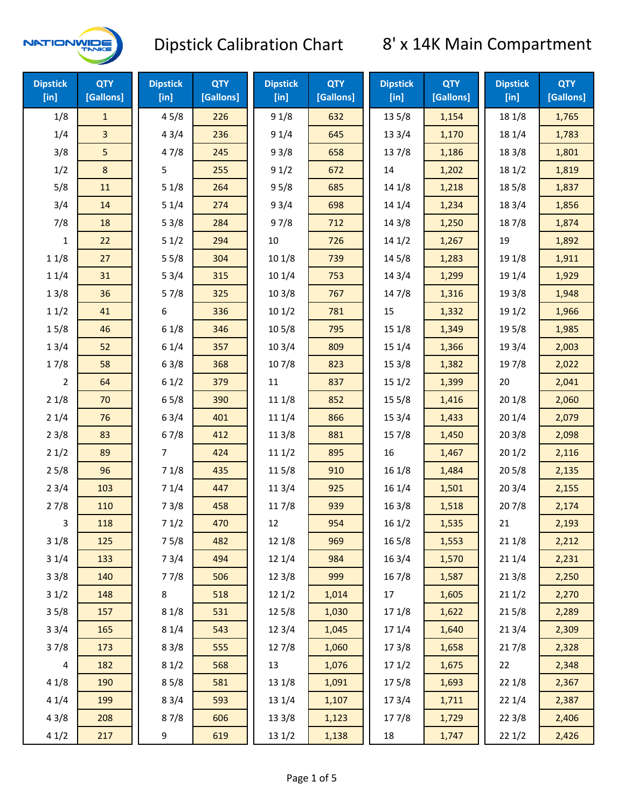

| <b>Dipstick</b><br>[in] | <b>QTY</b><br>[Gallons] | <b>Dipstick</b><br>[in] | <b>QTY</b><br>[Gallons] | <b>Dipstick</b><br>[in] | <b>QTY</b><br>[Gallons] | <b>Dipstick</b><br>[in] | <b>QTY</b><br>[Gallons] | <b>Dipstick</b><br>$[$ in] | <b>QTY</b><br>[Gallons] |
|-------------------------|-------------------------|-------------------------|-------------------------|-------------------------|-------------------------|-------------------------|-------------------------|----------------------------|-------------------------|
| 1/8                     | $\mathbf{1}$            | 45/8                    | 226                     | 91/8                    | 632                     | 13 5/8                  | 1,154                   | 18 1/8                     | 1,765                   |
| 1/4                     | 3                       | 43/4                    | 236                     | 91/4                    | 645                     | 13 3/4                  | 1,170                   | 18 1/4                     | 1,783                   |
| 3/8                     | 5                       | 47/8                    | 245                     | 93/8                    | 658                     | 137/8                   | 1,186                   | 18 3/8                     | 1,801                   |
| 1/2                     | $\bf 8$                 | 5                       | 255                     | 91/2                    | 672                     | 14                      | 1,202                   | 18 1/2                     | 1,819                   |
| 5/8                     | 11                      | 51/8                    | 264                     | 95/8                    | 685                     | 14 1/8                  | 1,218                   | 185/8                      | 1,837                   |
| 3/4                     | 14                      | 51/4                    | 274                     | 93/4                    | 698                     | 14 1/4                  | 1,234                   | 18 3/4                     | 1,856                   |
| 7/8                     | 18                      | 53/8                    | 284                     | 97/8                    | 712                     | 143/8                   | 1,250                   | 187/8                      | 1,874                   |
| $\mathbf{1}$            | 22                      | 51/2                    | 294                     | 10                      | 726                     | 141/2                   | 1,267                   | 19                         | 1,892                   |
| 11/8                    | 27                      | 55/8                    | 304                     | 101/8                   | 739                     | 14 5/8                  | 1,283                   | 19 1/8                     | 1,911                   |
| 11/4                    | 31                      | 53/4                    | 315                     | 101/4                   | 753                     | 14 3/4                  | 1,299                   | 19 1/4                     | 1,929                   |
| 13/8                    | 36                      | 57/8                    | 325                     | 103/8                   | 767                     | 147/8                   | 1,316                   | 19 3/8                     | 1,948                   |
| 11/2                    | 41                      | 6                       | 336                     | 101/2                   | 781                     | 15                      | 1,332                   | 19 1/2                     | 1,966                   |
| 15/8                    | 46                      | 61/8                    | 346                     | 10 <sub>5</sub> /8      | 795                     | 15 1/8                  | 1,349                   | 19 5/8                     | 1,985                   |
| 13/4                    | 52                      | 61/4                    | 357                     | 103/4                   | 809                     | 151/4                   | 1,366                   | 19 3/4                     | 2,003                   |
| 17/8                    | 58                      | 63/8                    | 368                     | 107/8                   | 823                     | 153/8                   | 1,382                   | 197/8                      | 2,022                   |
| $\overline{2}$          | 64                      | 61/2                    | 379                     | $11\,$                  | 837                     | 151/2                   | 1,399                   | 20                         | 2,041                   |
| 21/8                    | 70                      | 65/8                    | 390                     | 11 1/8                  | 852                     | 15 <sub>5</sub> /8      | 1,416                   | 201/8                      | 2,060                   |
| 21/4                    | 76                      | 63/4                    | 401                     | 11 1/4                  | 866                     | 153/4                   | 1,433                   | 201/4                      | 2,079                   |
| 23/8                    | 83                      | 67/8                    | 412                     | 11 3/8                  | 881                     | 157/8                   | 1,450                   | 203/8                      | 2,098                   |
| 21/2                    | 89                      | 7                       | 424                     | 111/2                   | 895                     | 16                      | 1,467                   | 201/2                      | 2,116                   |
| 25/8                    | 96                      | 71/8                    | 435                     | 115/8                   | 910                     | 161/8                   | 1,484                   | 205/8                      | 2,135                   |
| 23/4                    | 103                     | 71/4                    | 447                     | 113/4                   | 925                     | 161/4                   | 1,501                   | 203/4                      | 2,155                   |
| 27/8                    | 110                     | 73/8                    | 458                     | 11 7/8                  | 939                     | 163/8                   | 1,518                   | 207/8                      | 2,174                   |
| 3                       | 118                     | 71/2                    | 470                     | 12                      | 954                     | 161/2                   | 1,535                   | 21                         | 2,193                   |
| 31/8                    | 125                     | 75/8                    | 482                     | 12 1/8                  | 969                     | $16\,5/8$               | 1,553                   | 211/8                      | 2,212                   |
| 31/4                    | 133                     | 73/4                    | 494                     | 12 1/4                  | 984                     | 16 3/4                  | 1,570                   | 211/4                      | 2,231                   |
| 33/8                    | 140                     | 77/8                    | 506                     | 12 3/8                  | 999                     | 16 7/8                  | 1,587                   | 213/8                      | 2,250                   |
| 31/2                    | 148                     | 8                       | 518                     | 121/2                   | 1,014                   | 17                      | 1,605                   | 211/2                      | 2,270                   |
| 35/8                    | 157                     | 81/8                    | 531                     | 12 5/8                  | 1,030                   | 17 1/8                  | 1,622                   | 215/8                      | 2,289                   |
| 33/4                    | 165                     | 81/4                    | 543                     | 123/4                   | 1,045                   | 17 1/4                  | 1,640                   | 213/4                      | 2,309                   |
| 37/8                    | 173                     | 83/8                    | 555                     | 12 7/8                  | 1,060                   | 173/8                   | 1,658                   | 217/8                      | 2,328                   |
| $\overline{4}$          | 182                     | 81/2                    | 568                     | 13                      | 1,076                   | 171/2                   | 1,675                   | 22                         | 2,348                   |
| 41/8                    | 190                     | 85/8                    | 581                     | 13 1/8                  | 1,091                   | 175/8                   | 1,693                   | 22 1/8                     | 2,367                   |
| 41/4                    | 199                     | 83/4                    | 593                     | 13 1/4                  | 1,107                   | 17 3/4                  | 1,711                   | 221/4                      | 2,387                   |
| 43/8                    | 208                     | 87/8                    | 606                     | 13 3/8                  | 1,123                   | 177/8                   | 1,729                   | 223/8                      | 2,406                   |
| 41/2                    | 217                     | 9                       | 619                     | 13 1/2                  | 1,138                   | 18                      | 1,747                   | 221/2                      | 2,426                   |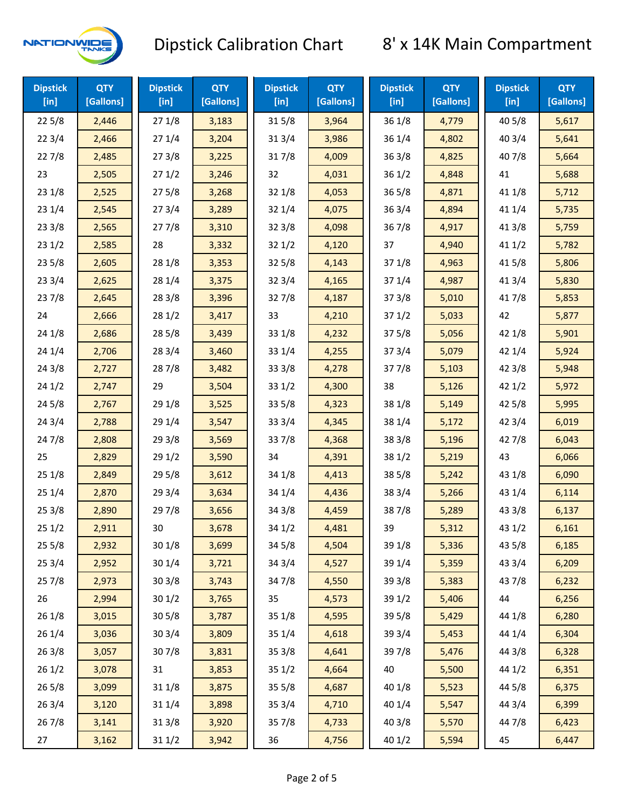

| <b>Dipstick</b><br>[in] | <b>QTY</b><br>[Gallons] | <b>Dipstick</b><br>$[$ in] | <b>QTY</b><br>[Gallons] | <b>Dipstick</b><br>$[$ in] | <b>QTY</b><br>[Gallons] | <b>Dipstick</b><br>$[$ in] | <b>QTY</b><br>[Gallons] | <b>Dipstick</b><br>[in] | <b>QTY</b><br>[Gallons] |
|-------------------------|-------------------------|----------------------------|-------------------------|----------------------------|-------------------------|----------------------------|-------------------------|-------------------------|-------------------------|
| 225/8                   | 2,446                   | 271/8                      | 3,183                   | 315/8                      | 3,964                   | 36 1/8                     | 4,779                   | 40 5/8                  | 5,617                   |
| 223/4                   | 2,466                   | 271/4                      | 3,204                   | 31 3/4                     | 3,986                   | 36 1/4                     | 4,802                   | 403/4                   | 5,641                   |
| 227/8                   | 2,485                   | 273/8                      | 3,225                   | 317/8                      | 4,009                   | 363/8                      | 4,825                   | 407/8                   | 5,664                   |
| 23                      | 2,505                   | 271/2                      | 3,246                   | 32                         | 4,031                   | 361/2                      | 4,848                   | 41                      | 5,688                   |
| 231/8                   | 2,525                   | 275/8                      | 3,268                   | 32 1/8                     | 4,053                   | $36\,5/8$                  | 4,871                   | 41 1/8                  | 5,712                   |
| 231/4                   | 2,545                   | 273/4                      | 3,289                   | 32 1/4                     | 4,075                   | 363/4                      | 4,894                   | 41 1/4                  | 5,735                   |
| 233/8                   | 2,565                   | 277/8                      | 3,310                   | 32 3/8                     | 4,098                   | 367/8                      | 4,917                   | 413/8                   | 5,759                   |
| 231/2                   | 2,585                   | 28                         | 3,332                   | 321/2                      | 4,120                   | 37                         | 4,940                   | 411/2                   | 5,782                   |
| 235/8                   | 2,605                   | 28 1/8                     | 3,353                   | 325/8                      | 4,143                   | 37 1/8                     | 4,963                   | 41 5/8                  | 5,806                   |
| 233/4                   | 2,625                   | 28 1/4                     | 3,375                   | 32 3/4                     | 4,165                   | 37 1/4                     | 4,987                   | 41 3/4                  | 5,830                   |
| 237/8                   | 2,645                   | 28 3/8                     | 3,396                   | 327/8                      | 4,187                   | 373/8                      | 5,010                   | 417/8                   | 5,853                   |
| 24                      | 2,666                   | 28 1/2                     | 3,417                   | 33                         | 4,210                   | 371/2                      | 5,033                   | 42                      | 5,877                   |
| 24 1/8                  | 2,686                   | 28 5/8                     | 3,439                   | 33 1/8                     | 4,232                   | 375/8                      | 5,056                   | 42 1/8                  | 5,901                   |
| 241/4                   | 2,706                   | 283/4                      | 3,460                   | 33 1/4                     | 4,255                   | 373/4                      | 5,079                   | 42 1/4                  | 5,924                   |
| 243/8                   | 2,727                   | 287/8                      | 3,482                   | 333/8                      | 4,278                   | 377/8                      | 5,103                   | 42 3/8                  | 5,948                   |
| 241/2                   | 2,747                   | 29                         | 3,504                   | 33 1/2                     | 4,300                   | 38                         | 5,126                   | 421/2                   | 5,972                   |
| 245/8                   | 2,767                   | 29 1/8                     | 3,525                   | 33 5/8                     | 4,323                   | 38 1/8                     | 5,149                   | 42 5/8                  | 5,995                   |
| 243/4                   | 2,788                   | 29 1/4                     | 3,547                   | 33 3/4                     | 4,345                   | 38 1/4                     | 5,172                   | 42 3/4                  | 6,019                   |
| 24 7/8                  | 2,808                   | 293/8                      | 3,569                   | 337/8                      | 4,368                   | 38 3/8                     | 5,196                   | 427/8                   | 6,043                   |
| 25                      | 2,829                   | 29 1/2                     | 3,590                   | 34                         | 4,391                   | 38 1/2                     | 5,219                   | 43                      | 6,066                   |
| 251/8                   | 2,849                   | 29 5/8                     | 3,612                   | 34 1/8                     | 4,413                   | 38 5/8                     | 5,242                   | 43 1/8                  | 6,090                   |
| 251/4                   | 2,870                   | 29 3/4                     | 3,634                   | 34 1/4                     | 4,436                   | 38 3/4                     | 5,266                   | 43 1/4                  | 6,114                   |
| 253/8                   | 2,890                   | 297/8                      | 3,656                   | 34 3/8                     | 4,459                   | 387/8                      | 5,289                   | 43 3/8                  | 6,137                   |
| 251/2                   | 2,911                   | 30                         | 3,678                   | 34 1/2                     | 4,481                   | 39                         | 5,312                   | 43 1/2                  | 6,161                   |
| 255/8                   | 2,932                   | 301/8                      | 3,699                   | 345/8                      | 4,504                   | 39 1/8                     | 5,336                   | 43 5/8                  | 6,185                   |
| 253/4                   | 2,952                   | 30 1/4                     | 3,721                   | 34 3/4                     | 4,527                   | 39 1/4                     | 5,359                   | 43 3/4                  | 6,209                   |
| 257/8                   | 2,973                   | 303/8                      | 3,743                   | 347/8                      | 4,550                   | 39 3/8                     | 5,383                   | 437/8                   | 6,232                   |
| 26                      | 2,994                   | 301/2                      | 3,765                   | 35                         | 4,573                   | 39 1/2                     | 5,406                   | 44                      | 6,256                   |
| 261/8                   | 3,015                   | 30 5/8                     | 3,787                   | 35 1/8                     | 4,595                   | 39 5/8                     | 5,429                   | 44 1/8                  | 6,280                   |
| 261/4                   | 3,036                   | 30 3/4                     | 3,809                   | 35 1/4                     | 4,618                   | 39 3/4                     | 5,453                   | 44 1/4                  | 6,304                   |
| 263/8                   | 3,057                   | 307/8                      | 3,831                   | 35 3/8                     | 4,641                   | 397/8                      | 5,476                   | 44 3/8                  | 6,328                   |
| 261/2                   | 3,078                   | 31                         | 3,853                   | 35 1/2                     | 4,664                   | 40                         | 5,500                   | 44 1/2                  | 6,351                   |
| 265/8                   | 3,099                   | 31 1/8                     | 3,875                   | $35\,5/8$                  | 4,687                   | 40 1/8                     | 5,523                   | 44 5/8                  | 6,375                   |
| 263/4                   | 3,120                   | 31 1/4                     | 3,898                   | 35 3/4                     | 4,710                   | 40 1/4                     | 5,547                   | 44 3/4                  | 6,399                   |
| 267/8                   | 3,141                   | 31 3/8                     | 3,920                   | 357/8                      | 4,733                   | 40 3/8                     | 5,570                   | 447/8                   | 6,423                   |
| 27                      | 3,162                   | 31 1/2                     | 3,942                   | 36                         | 4,756                   | 40 1/2                     | 5,594                   | 45                      | 6,447                   |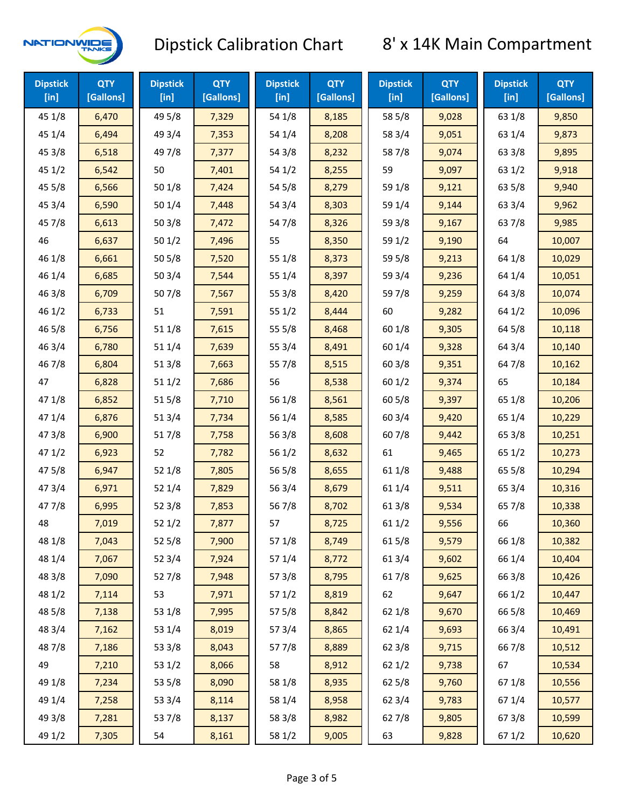

| <b>Dipstick</b><br>$[$ in] | <b>QTY</b><br>[Gallons] | <b>Dipstick</b><br>$[$ in] | <b>QTY</b><br>[Gallons] | <b>Dipstick</b><br>$[$ in] | <b>QTY</b><br>[Gallons] | <b>Dipstick</b><br>$[$ in] | <b>QTY</b><br>[Gallons] | <b>Dipstick</b><br>$[$ in] | <b>QTY</b><br>[Gallons] |
|----------------------------|-------------------------|----------------------------|-------------------------|----------------------------|-------------------------|----------------------------|-------------------------|----------------------------|-------------------------|
| 45 1/8                     | 6,470                   | 49 5/8                     | 7,329                   | 54 1/8                     | 8,185                   | 58 5/8                     | 9,028                   | 63 1/8                     | 9,850                   |
| 45 1/4                     | 6,494                   | 49 3/4                     | 7,353                   | 54 1/4                     | 8,208                   | 58 3/4                     | 9,051                   | 63 1/4                     | 9,873                   |
| 45 3/8                     | 6,518                   | 49 7/8                     | 7,377                   | 54 3/8                     | 8,232                   | 587/8                      | 9,074                   | 63 3/8                     | 9,895                   |
| 451/2                      | 6,542                   | 50                         | 7,401                   | 54 1/2                     | 8,255                   | 59                         | 9,097                   | 631/2                      | 9,918                   |
| 45 5/8                     | 6,566                   | 501/8                      | 7,424                   | 54 5/8                     | 8,279                   | 59 1/8                     | 9,121                   | 63 5/8                     | 9,940                   |
| 45 3/4                     | 6,590                   | 501/4                      | 7,448                   | 54 3/4                     | 8,303                   | 59 1/4                     | 9,144                   | 63 3/4                     | 9,962                   |
| 45 7/8                     | 6,613                   | 503/8                      | 7,472                   | 54 7/8                     | 8,326                   | 59 3/8                     | 9,167                   | 637/8                      | 9,985                   |
| 46                         | 6,637                   | 501/2                      | 7,496                   | 55                         | 8,350                   | 59 1/2                     | 9,190                   | 64                         | 10,007                  |
| 46 1/8                     | 6,661                   | 505/8                      | 7,520                   | 55 1/8                     | 8,373                   | 59 5/8                     | 9,213                   | 64 1/8                     | 10,029                  |
| 46 1/4                     | 6,685                   | 50 3/4                     | 7,544                   | 55 1/4                     | 8,397                   | 59 3/4                     | 9,236                   | 64 1/4                     | 10,051                  |
| 46 3/8                     | 6,709                   | 507/8                      | 7,567                   | 55 3/8                     | 8,420                   | 59 7/8                     | 9,259                   | 64 3/8                     | 10,074                  |
| 46 1/2                     | 6,733                   | 51                         | 7,591                   | 55 1/2                     | 8,444                   | 60                         | 9,282                   | 64 1/2                     | 10,096                  |
| 46 5/8                     | 6,756                   | 511/8                      | 7,615                   | 55 5/8                     | 8,468                   | 60 1/8                     | 9,305                   | 64 5/8                     | 10,118                  |
| 46 3/4                     | 6,780                   | 51 1/4                     | 7,639                   | 55 3/4                     | 8,491                   | 60 1/4                     | 9,328                   | 64 3/4                     | 10,140                  |
| 46 7/8                     | 6,804                   | 513/8                      | 7,663                   | 55 7/8                     | 8,515                   | 60 3/8                     | 9,351                   | 64 7/8                     | 10,162                  |
| 47                         | 6,828                   | 511/2                      | 7,686                   | 56                         | 8,538                   | 601/2                      | 9,374                   | 65                         | 10,184                  |
| 47 1/8                     | 6,852                   | 515/8                      | 7,710                   | 56 1/8                     | 8,561                   | 60 5/8                     | 9,397                   | 65 1/8                     | 10,206                  |
| 47 1/4                     | 6,876                   | 513/4                      | 7,734                   | 56 1/4                     | 8,585                   | 60 3/4                     | 9,420                   | 65 1/4                     | 10,229                  |
| 47 3/8                     | 6,900                   | 517/8                      | 7,758                   | 56 3/8                     | 8,608                   | 607/8                      | 9,442                   | 65 3/8                     | 10,251                  |
| 47 1/2                     | 6,923                   | 52                         | 7,782                   | 56 1/2                     | 8,632                   | 61                         | 9,465                   | 65 1/2                     | 10,273                  |
| 475/8                      | 6,947                   | 52 1/8                     | 7,805                   | 56 5/8                     | 8,655                   | 61 1/8                     | 9,488                   | 65 5/8                     | 10,294                  |
| 47 3/4                     | 6,971                   | 52 1/4                     | 7,829                   | 56 3/4                     | 8,679                   | 61 1/4                     | 9,511                   | 65 3/4                     | 10,316                  |
| 47 7/8                     | 6,995                   | 52 3/8                     | 7,853                   | 567/8                      | 8,702                   | 61 3/8                     | 9,534                   | 65 7/8                     | 10,338                  |
| 48                         | 7,019                   | 521/2                      | 7,877                   | 57                         | 8,725                   | 611/2                      | 9,556                   | 66                         | 10,360                  |
| 48 1/8                     | 7,043                   | 525/8                      | 7,900                   | 57 1/8                     | 8,749                   | 615/8                      | 9,579                   | 66 1/8                     | 10,382                  |
| 48 1/4                     | 7,067                   | 52 3/4                     | 7,924                   | 57 1/4                     | 8,772                   | 61 3/4                     | 9,602                   | 66 1/4                     | 10,404                  |
| 48 3/8                     | 7,090                   | 527/8                      | 7,948                   | 57 3/8                     | 8,795                   | 617/8                      | 9,625                   | 66 3/8                     | 10,426                  |
| 48 1/2                     | 7,114                   | 53                         | 7,971                   | 57 1/2                     | 8,819                   | 62                         | 9,647                   | 66 1/2                     | 10,447                  |
| 48 5/8                     | 7,138                   | 53 1/8                     | 7,995                   | 57 5/8                     | 8,842                   | 62 1/8                     | 9,670                   | 66 5/8                     | 10,469                  |
| 48 3/4                     | 7,162                   | 53 1/4                     | 8,019                   | 573/4                      | 8,865                   | 62 1/4                     | 9,693                   | 66 3/4                     | 10,491                  |
| 487/8                      | 7,186                   | 53 3/8                     | 8,043                   | 577/8                      | 8,889                   | 62 3/8                     | 9,715                   | 667/8                      | 10,512                  |
| 49                         | 7,210                   | 53 1/2                     | 8,066                   | 58                         | 8,912                   | 62 1/2                     | 9,738                   | 67                         | 10,534                  |
| 49 1/8                     | 7,234                   | 53 5/8                     | 8,090                   | 58 1/8                     | 8,935                   | 62 5/8                     | 9,760                   | 671/8                      | 10,556                  |
| 49 1/4                     | 7,258                   | 53 3/4                     | 8,114                   | 58 1/4                     | 8,958                   | 62 3/4                     | 9,783                   | 67 1/4                     | 10,577                  |
| 49 3/8                     | 7,281                   | 537/8                      | 8,137                   | 58 3/8                     | 8,982                   | 627/8                      | 9,805                   | 67 3/8                     | 10,599                  |
| 49 1/2                     | 7,305                   | 54                         | 8,161                   | 58 1/2                     | 9,005                   | 63                         | 9,828                   | 67 1/2                     | 10,620                  |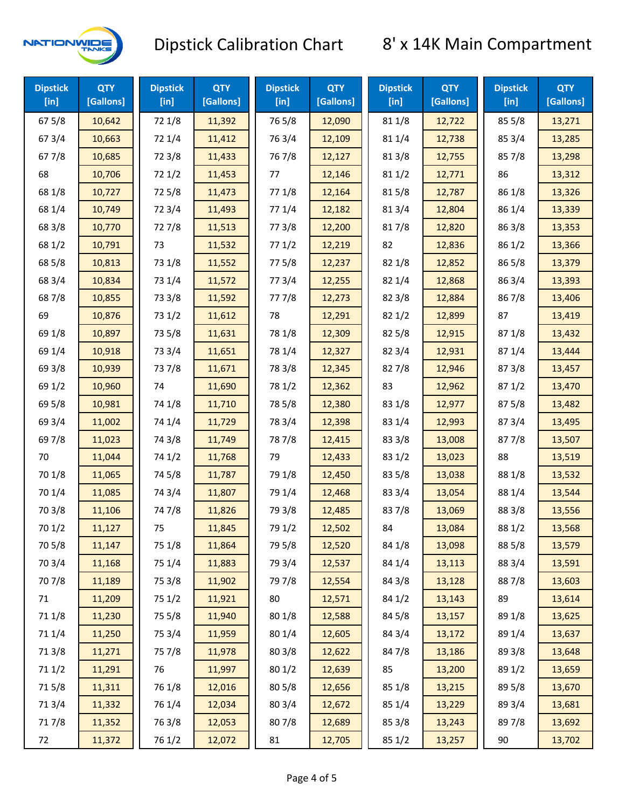

| <b>Dipstick</b><br>$[$ in] | <b>QTY</b><br>[Gallons] | <b>Dipstick</b><br>$[$ in] | <b>QTY</b><br>[Gallons] | <b>Dipstick</b><br>$[$ in] | <b>QTY</b><br>[Gallons] | <b>Dipstick</b><br>$[$ in] | <b>QTY</b><br>[Gallons] | <b>Dipstick</b><br>[in] | <b>QTY</b><br>[Gallons] |
|----------------------------|-------------------------|----------------------------|-------------------------|----------------------------|-------------------------|----------------------------|-------------------------|-------------------------|-------------------------|
| 67 5/8                     | 10,642                  | 72 1/8                     | 11,392                  | 765/8                      | 12,090                  | 81 1/8                     | 12,722                  | 855/8                   | 13,271                  |
| 67 3/4                     | 10,663                  | 72 1/4                     | 11,412                  | 763/4                      | 12,109                  | 81 1/4                     | 12,738                  | 85 3/4                  | 13,285                  |
| 677/8                      | 10,685                  | 72 3/8                     | 11,433                  | 767/8                      | 12,127                  | 81 3/8                     | 12,755                  | 857/8                   | 13,298                  |
| 68                         | 10,706                  | 72 1/2                     | 11,453                  | 77                         | 12,146                  | 811/2                      | 12,771                  | 86                      | 13,312                  |
| 68 1/8                     | 10,727                  | 725/8                      | 11,473                  | 77 1/8                     | 12,164                  | 815/8                      | 12,787                  | 86 1/8                  | 13,326                  |
| 68 1/4                     | 10,749                  | 72 3/4                     | 11,493                  | 77 1/4                     | 12,182                  | 813/4                      | 12,804                  | 86 1/4                  | 13,339                  |
| 68 3/8                     | 10,770                  | 727/8                      | 11,513                  | 77 3/8                     | 12,200                  | 817/8                      | 12,820                  | 86 3/8                  | 13,353                  |
| 68 1/2                     | 10,791                  | 73                         | 11,532                  | 771/2                      | 12,219                  | 82                         | 12,836                  | 86 1/2                  | 13,366                  |
| 68 5/8                     | 10,813                  | 73 1/8                     | 11,552                  | 775/8                      | 12,237                  | 82 1/8                     | 12,852                  | 86 5/8                  | 13,379                  |
| 68 3/4                     | 10,834                  | 73 1/4                     | 11,572                  | 773/4                      | 12,255                  | 82 1/4                     | 12,868                  | 86 3/4                  | 13,393                  |
| 687/8                      | 10,855                  | 73 3/8                     | 11,592                  | 777/8                      | 12,273                  | 82 3/8                     | 12,884                  | 867/8                   | 13,406                  |
| 69                         | 10,876                  | 73 1/2                     | 11,612                  | 78                         | 12,291                  | 821/2                      | 12,899                  | 87                      | 13,419                  |
| 69 1/8                     | 10,897                  | 73 5/8                     | 11,631                  | 78 1/8                     | 12,309                  | 825/8                      | 12,915                  | 871/8                   | 13,432                  |
| 69 1/4                     | 10,918                  | 73 3/4                     | 11,651                  | 78 1/4                     | 12,327                  | 82 3/4                     | 12,931                  | 871/4                   | 13,444                  |
| 69 3/8                     | 10,939                  | 737/8                      | 11,671                  | 78 3/8                     | 12,345                  | 827/8                      | 12,946                  | 87 3/8                  | 13,457                  |
| 69 1/2                     | 10,960                  | 74                         | 11,690                  | 78 1/2                     | 12,362                  | 83                         | 12,962                  | 871/2                   | 13,470                  |
| 69 5/8                     | 10,981                  | 74 1/8                     | 11,710                  | 78 5/8                     | 12,380                  | 83 1/8                     | 12,977                  | 875/8                   | 13,482                  |
| 69 3/4                     | 11,002                  | 74 1/4                     | 11,729                  | 78 3/4                     | 12,398                  | 83 1/4                     | 12,993                  | 87 3/4                  | 13,495                  |
| 697/8                      | 11,023                  | 74 3/8                     | 11,749                  | 787/8                      | 12,415                  | 83 3/8                     | 13,008                  | 877/8                   | 13,507                  |
| 70                         | 11,044                  | 74 1/2                     | 11,768                  | 79                         | 12,433                  | 83 1/2                     | 13,023                  | 88                      | 13,519                  |
| 70 1/8                     | 11,065                  | 74 5/8                     | 11,787                  | 79 1/8                     | 12,450                  | 83 5/8                     | 13,038                  | 88 1/8                  | 13,532                  |
| 70 1/4                     | 11,085                  | 74 3/4                     | 11,807                  | 79 1/4                     | 12,468                  | 83 3/4                     | 13,054                  | 88 1/4                  | 13,544                  |
| 70 3/8                     | 11,106                  | 747/8                      | 11,826                  | 79 3/8                     | 12,485                  | 837/8                      | 13,069                  | 88 3/8                  | 13,556                  |
| 70 1/2                     | 11,127                  | 75                         | 11,845                  | 79 1/2                     | 12,502                  | 84                         | 13,084                  | 88 1/2                  | 13,568                  |
| 70 5/8                     | 11,147                  | 75 1/8                     | 11,864                  | 79 5/8                     | 12,520                  | 84 1/8                     | 13,098                  | 88 5/8                  | 13,579                  |
| 70 3/4                     | 11,168                  | 75 1/4                     | 11,883                  | 79 3/4                     | 12,537                  | 84 1/4                     | 13,113                  | 88 3/4                  | 13,591                  |
| 70 7/8                     | 11,189                  | 75 3/8                     | 11,902                  | 79 7/8                     | 12,554                  | 84 3/8                     | 13,128                  | 887/8                   | 13,603                  |
| 71                         | 11,209                  | 75 1/2                     | 11,921                  | 80                         | 12,571                  | 84 1/2                     | 13,143                  | 89                      | 13,614                  |
| 71 1/8                     | 11,230                  | 75 5/8                     | 11,940                  | 80 1/8                     | 12,588                  | 84 5/8                     | 13,157                  | 89 1/8                  | 13,625                  |
| 71 1/4                     | 11,250                  | 75 3/4                     | 11,959                  | 80 1/4                     | 12,605                  | 84 3/4                     | 13,172                  | 89 1/4                  | 13,637                  |
| 713/8                      | 11,271                  | 75 7/8                     | 11,978                  | 80 3/8                     | 12,622                  | 84 7/8                     | 13,186                  | 89 3/8                  | 13,648                  |
| 71 1/2                     | 11,291                  | 76                         | 11,997                  | 80 1/2                     | 12,639                  | 85                         | 13,200                  | 89 1/2                  | 13,659                  |
| 715/8                      | 11,311                  | 76 1/8                     | 12,016                  | 80 5/8                     | 12,656                  | 85 1/8                     | 13,215                  | 89 5/8                  | 13,670                  |
| 713/4                      | 11,332                  | 76 1/4                     | 12,034                  | 80 3/4                     | 12,672                  | 85 1/4                     | 13,229                  | 89 3/4                  | 13,681                  |
| 717/8                      | 11,352                  | 763/8                      | 12,053                  | 807/8                      | 12,689                  | 85 3/8                     | 13,243                  | 897/8                   | 13,692                  |
| 72                         | 11,372                  | 76 1/2                     | 12,072                  | 81                         | 12,705                  | 85 1/2                     | 13,257                  | 90                      | 13,702                  |